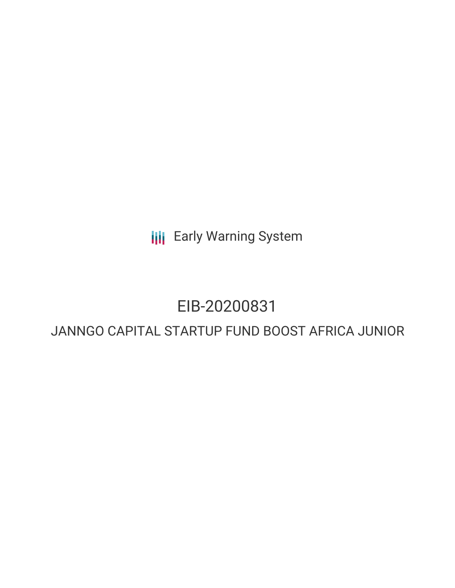**III** Early Warning System

# EIB-20200831

# JANNGO CAPITAL STARTUP FUND BOOST AFRICA JUNIOR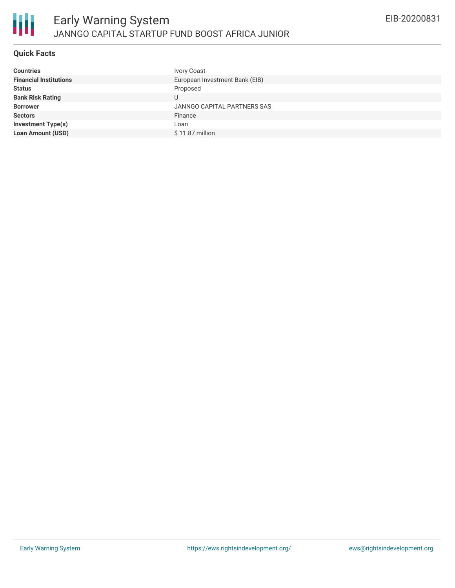

## **Quick Facts**

| <b>Countries</b>              | <b>Ivory Coast</b>             |
|-------------------------------|--------------------------------|
| <b>Financial Institutions</b> | European Investment Bank (EIB) |
| <b>Status</b>                 | Proposed                       |
| <b>Bank Risk Rating</b>       | U                              |
| <b>Borrower</b>               | JANNGO CAPITAL PARTNERS SAS    |
| <b>Sectors</b>                | Finance                        |
| <b>Investment Type(s)</b>     | Loan                           |
| <b>Loan Amount (USD)</b>      | $$11.87$ million               |
|                               |                                |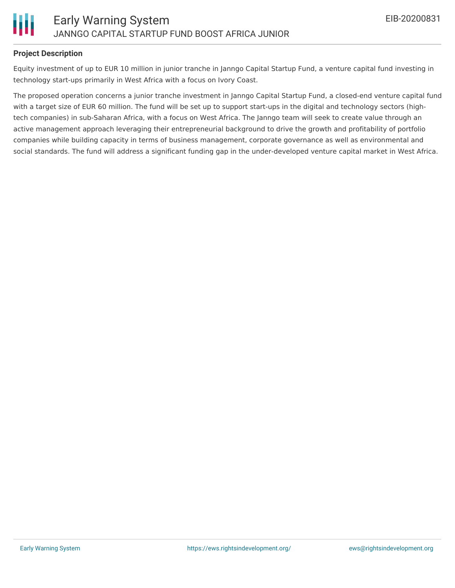

### **Project Description**

Equity investment of up to EUR 10 million in junior tranche in Janngo Capital Startup Fund, a venture capital fund investing in technology start-ups primarily in West Africa with a focus on Ivory Coast.

The proposed operation concerns a junior tranche investment in Janngo Capital Startup Fund, a closed-end venture capital fund with a target size of EUR 60 million. The fund will be set up to support start-ups in the digital and technology sectors (hightech companies) in sub-Saharan Africa, with a focus on West Africa. The Janngo team will seek to create value through an active management approach leveraging their entrepreneurial background to drive the growth and profitability of portfolio companies while building capacity in terms of business management, corporate governance as well as environmental and social standards. The fund will address a significant funding gap in the under-developed venture capital market in West Africa.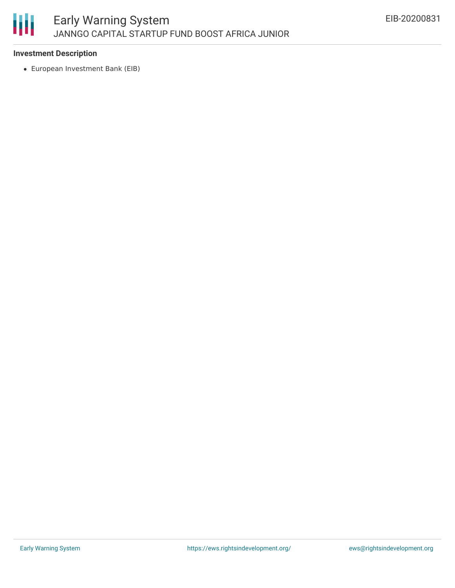

### **Investment Description**

European Investment Bank (EIB)